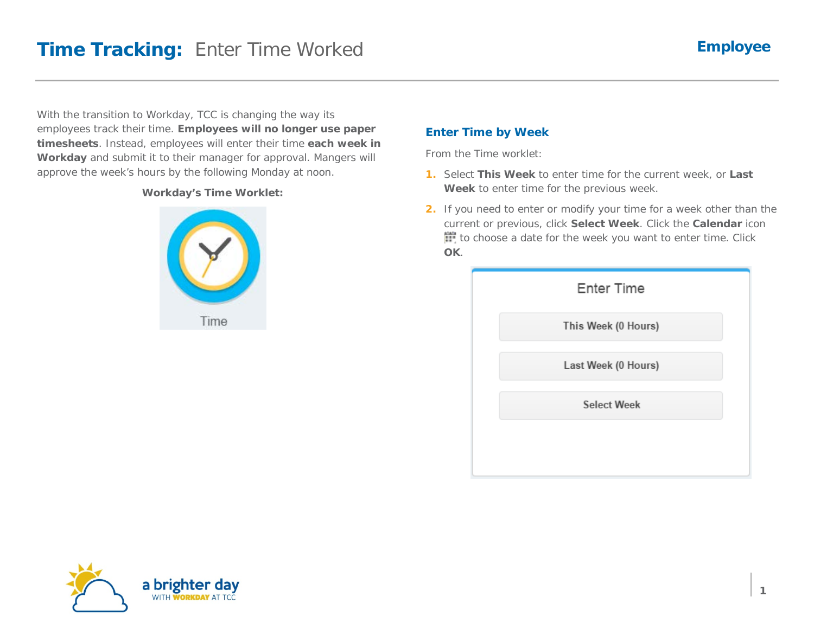With the transition to Workday, TCC is changing the way its employees track their time. **Employees will no longer use paper timesheets**. Instead, employees will enter their time **each week in Workday** and submit it to their manager for approval. Mangers will approve the week's hours by the following Monday at noon.

### **Workday's Time Worklet:**



### **Enter Time by Week**

From the Time worklet:

- **1.** Select **This Week** to enter time for the current week, or **Last Week** to enter time for the previous week.
- **2.** If you need to enter or modify your time for a week other than the current or previous, click **Select Week**. Click the **Calendar** icon to choose a date for the week you want to enter time. Click **OK**.

| <b>Enter Time</b>   |  |
|---------------------|--|
| This Week (0 Hours) |  |
| Last Week (0 Hours) |  |
| <b>Select Week</b>  |  |
|                     |  |

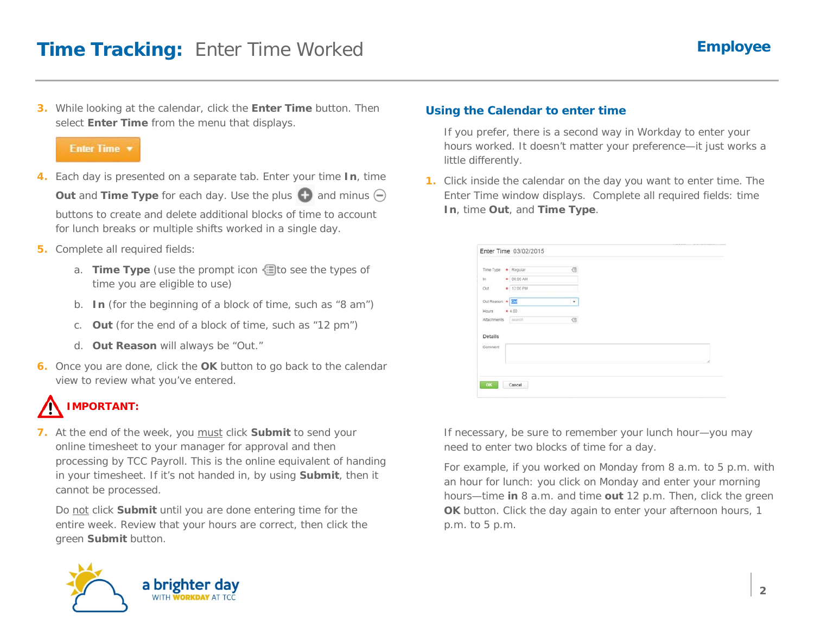**3.** While looking at the calendar, click the **Enter Time** button. Then select **Enter Time** from the menu that displays.

#### Enter Time

- **4.** Each day is presented on a separate tab. Enter your time **In**, time **Out** and **Time Type** for each day. Use the plus  $\bigoplus$  and minus  $\bigoplus$ buttons to create and delete additional blocks of time to account for lunch breaks or multiple shifts worked in a single day.
- **5.** Complete all required fields:
	- a. **Time Type** (use the prompt icon **the see the types of** time you are eligible to use)
	- b. **In** (for the beginning of a block of time, such as "8 am")
	- c. **Out** (for the end of a block of time, such as "12 pm")
	- d. **Out Reason** will always be "Out."
- **6.** Once you are done, click the **OK** button to go back to the calendar view to review what you've entered.

# **IMPORTANT:**

**7.** At the end of the week, you must click **Submit** to send your online timesheet to your manager for approval and then processing by TCC Payroll. This is the online equivalent of handing in your timesheet. If it's not handed in, by using **Submit**, then it cannot be processed.

Do not click **Submit** until you are done entering time for the entire week. Review that your hours are correct, then click the green **Submit** button.



### **Using the Calendar to enter time**

If you prefer, there is a second way in Workday to enter your hours worked. It doesn't matter your preference—it just works a little differently.

**1.** Click inside the calendar on the day you want to enter time. The Enter Time window displays. Complete all required fields: time **In**, time **Out**, and **Time Type**.

|                               |                       |        | ------ | The first process of the control of |
|-------------------------------|-----------------------|--------|--------|-------------------------------------|
|                               | Enter Time 03/02/2015 |        |        |                                     |
|                               |                       |        |        |                                     |
| Time Type * Regular           |                       | 图      |        |                                     |
| $\ln$                         | $\bullet$ 08:00 AM    |        |        |                                     |
| $_{\text{o}xt}$               | + 12:00 PM            |        |        |                                     |
| Out Reason * 31               |                       | $\tau$ |        |                                     |
| Hours                         | * 4.00                |        |        |                                     |
| Atlachments                   | search                | G      |        |                                     |
| <b>NASH PERMIT</b><br>Details |                       |        |        |                                     |
| Comment                       |                       |        |        |                                     |
|                               |                       |        |        |                                     |
|                               |                       |        |        |                                     |
|                               |                       |        |        |                                     |
| OK                            | Cancel                |        |        |                                     |
|                               |                       |        |        |                                     |

If necessary, be sure to remember your lunch hour—you may need to enter two blocks of time for a day.

For example, if you worked on Monday from 8 a.m. to 5 p.m. with an hour for lunch: you click on Monday and enter your morning hours—time **in** 8 a.m. and time **out** 12 p.m. Then, click the green **OK** button. Click the day again to enter your afternoon hours, 1 p.m. to 5 p.m.